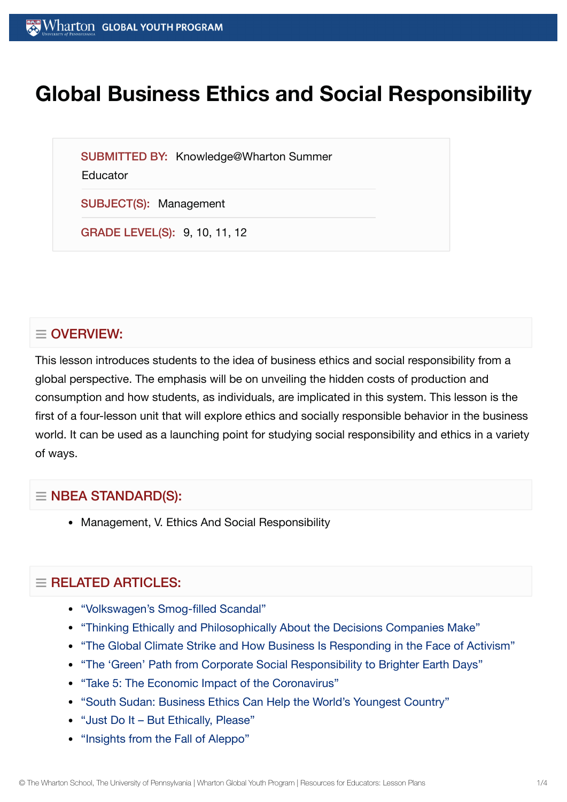# **Global Business Ethics and Social Responsibility**

SUBMITTED BY: Knowledge@Wharton Summer

Educator

SUBJECT(S): Management

GRADE LEVEL(S): 9, 10, 11, 12

## $\equiv$  OVERVIEW:

This lesson introduces students to the idea of business ethics and social responsibility from a global perspective. The emphasis will be on unveiling the hidden costs of production and consumption and how students, as individuals, are implicated in this system. This lesson is the first of a four-lesson unit that will explore ethics and socially responsible behavior in the business world. It can be used as a launching point for studying social responsibility and ethics in a variety of ways.

## $\equiv$  NBEA STANDARD(S):

Management, V. Ethics And Social Responsibility

## $=$  RELATED ARTICLES:

- ["Volkswagen's Smog-filled](https://globalyouth.wharton.upenn.edu/articles/volkswagen-scandal/) Scandal"
- "Thinking Ethically and Philosophically About the [Decisions Companies Make"](https://globalyouth.wharton.upenn.edu/articles/thinking-ethically-philosophically-about-decisions-companies-make/)
- "The Global Climate Strike and How [Business Is Responding](https://globalyouth.wharton.upenn.edu/articles/business-responds-face-of-activism/) in the Face of Activism"
- "The 'Green' Path from Corporate Social [Responsibility to](https://globalyouth.wharton.upenn.edu/articles/corporate-social-responsibility/) Brighter Earth Days"
- "Take 5: The Economic Impact of the [Coronavirus"](https://globalyouth.wharton.upenn.edu/articles/take-5-economic-impact-coronavirus/)
- "South Sudan: [Business Ethics Can](https://globalyouth.wharton.upenn.edu/articles/south-sudan-business-ethics-can-help-worlds-youngest-country/) Help the World's Youngest Country"
- "Just Do It But [Ethically,](https://globalyouth.wharton.upenn.edu/articles/just-do-it-%e2%80%93-but-ethically-please/) Please"
- ["Insights from](https://globalyouth.wharton.upenn.edu/articles/insights-from-fall-of-aleppo/) the Fall of Aleppo"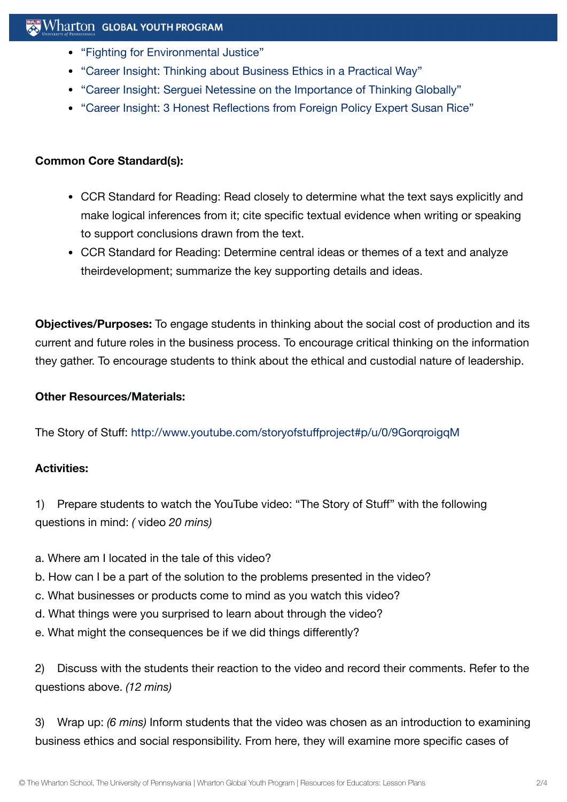- "Fighting for [Environmental](https://globalyouth.wharton.upenn.edu/articles/fighting-for-environmental-justice/) Justice"
- "Career Insight: Thinking about [Business Ethics in](https://globalyouth.wharton.upenn.edu/articles/career-insight-thinking-business-ethics-practical-way/) a Practical Way"
- "Career Insight: Serguei Netessine on the [Importance](https://globalyouth.wharton.upenn.edu/articles/career-insight-serguei-netessine-important-develop-global-perspective/) of Thinking Globally"
- "Career Insight: 3 Honest [Reflections from](https://globalyouth.wharton.upenn.edu/articles/career-insight-3-honest-reflections-foreign-policy-specialist-susan-rice/) Foreign Policy Expert Susan Rice"

### **Common Core Standard(s):**

- CCR Standard for Reading: Read closely to determine what the text says explicitly and make logical inferences from it; cite specific textual evidence when writing or speaking to support conclusions drawn from the text.
- CCR Standard for Reading: Determine central ideas or themes of a text and analyze theirdevelopment; summarize the key supporting details and ideas.

**Objectives/Purposes:** To engage students in thinking about the social cost of production and its current and future roles in the business process. To encourage critical thinking on the information they gather. To encourage students to think about the ethical and custodial nature of leadership.

### **Other Resources/Materials:**

The Story of Stuff: <http://www.youtube.com/storyofstuffproject#p/u/0/9GorqroigqM>

## **Activities:**

1) Prepare students to watch the YouTube video: "The Story of Stuff" with the following questions in mind: *(* video *20 mins)*

- a. Where am I located in the tale of this video?
- b. How can I be a part of the solution to the problems presented in the video?
- c. What businesses or products come to mind as you watch this video?
- d. What things were you surprised to learn about through the video?
- e. What might the consequences be if we did things differently?

2) Discuss with the students their reaction to the video and record their comments. Refer to the questions above. *(12 mins)*

3) Wrap up: *(6 mins)* Inform students that the video was chosen as an introduction to examining business ethics and social responsibility. From here, they will examine more specific cases of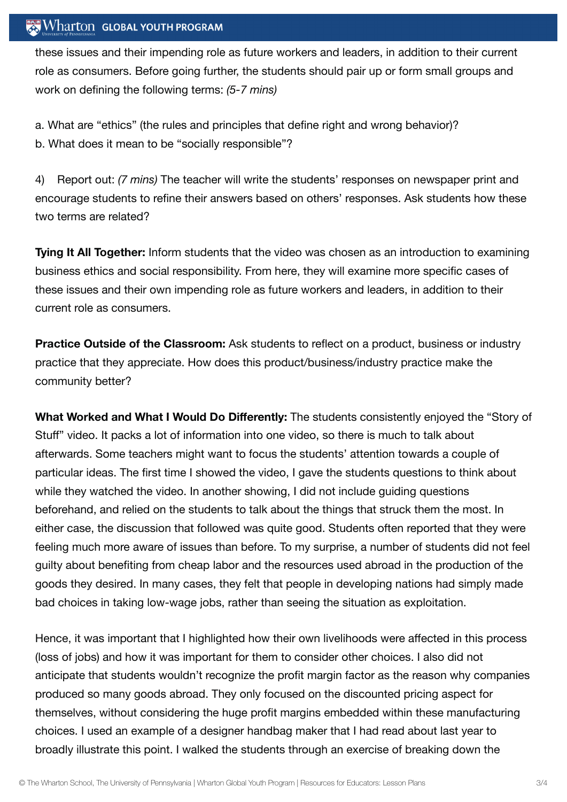#### Wharton GLOBAL YOUTH PROGRAM

these issues and their impending role as future workers and leaders, in addition to their current role as consumers. Before going further, the students should pair up or form small groups and work on defining the following terms: *(5-7 mins)*

a. What are "ethics" (the rules and principles that define right and wrong behavior)? b. What does it mean to be "socially responsible"?

4) Report out: *(7 mins)* The teacher will write the students' responses on newspaper print and encourage students to refine their answers based on others' responses. Ask students how these two terms are related?

**Tying It All Together:** Inform students that the video was chosen as an introduction to examining business ethics and social responsibility. From here, they will examine more specific cases of these issues and their own impending role as future workers and leaders, in addition to their current role as consumers.

**Practice Outside of the Classroom:** Ask students to reflect on a product, business or industry practice that they appreciate. How does this product/business/industry practice make the community better?

**What Worked and What I Would Do Differently:** The students consistently enjoyed the "Story of Stuff" video. It packs a lot of information into one video, so there is much to talk about afterwards. Some teachers might want to focus the students' attention towards a couple of particular ideas. The first time I showed the video, I gave the students questions to think about while they watched the video. In another showing, I did not include guiding questions beforehand, and relied on the students to talk about the things that struck them the most. In either case, the discussion that followed was quite good. Students often reported that they were feeling much more aware of issues than before. To my surprise, a number of students did not feel guilty about benefiting from cheap labor and the resources used abroad in the production of the goods they desired. In many cases, they felt that people in developing nations had simply made bad choices in taking low-wage jobs, rather than seeing the situation as exploitation.

Hence, it was important that I highlighted how their own livelihoods were affected in this process (loss of jobs) and how it was important for them to consider other choices. I also did not anticipate that students wouldn't recognize the profit margin factor as the reason why companies produced so many goods abroad. They only focused on the discounted pricing aspect for themselves, without considering the huge profit margins embedded within these manufacturing choices. I used an example of a designer handbag maker that I had read about last year to broadly illustrate this point. I walked the students through an exercise of breaking down the